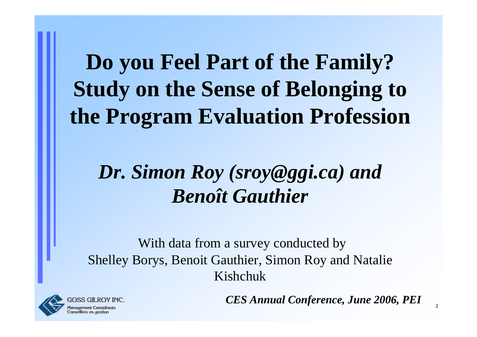**Do you Feel Part of the Family? Study on the Sense of Belonging to the Program Evaluation Profession**

#### *Dr. Simon Roy (sroy@ggi.ca) and Benoît Gauthier*

With data from a survey conducted by Shelley Borys, Benoit Gauthier, Simon Roy and Natalie Kishchuk



*CES Annual Conference, June 2006, PEI*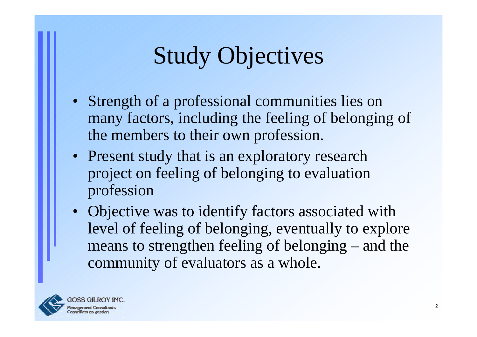# Study Objectives

- Strength of a professional communities lies on many factors, including the feeling of belonging of the members to their own profession.
- Present study that is an exploratory research project on feeling of belonging to evaluation profession
- Objective was to identify factors associated with level of feeling of belonging, eventually to explore means to strengthen feeling of belonging – and the community of evaluators as a whole.

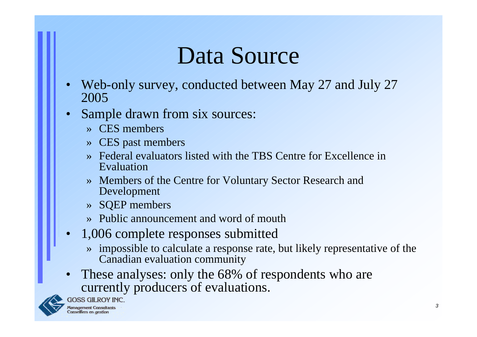## Data Source

- •Web-only survey, conducted between May 27 and July 27 2005
- •Sample drawn from six sources:
	- »CES members
	- » CES past members
	- »Federal evaluators listed with the TBS Centre for Excellence in Evaluation
	- » Members of the Centre for Voluntary Sector Research and Development
	- » SQEP members
	- »Public announcement and word of mouth
- • 1,006 complete responses submitted
	- » impossible to calculate a response rate, but likely representative of the Canadian evaluation community
- •These analyses: only the 68% of respondents who are currently producers of evaluations.



**GOSS GILROY INC.**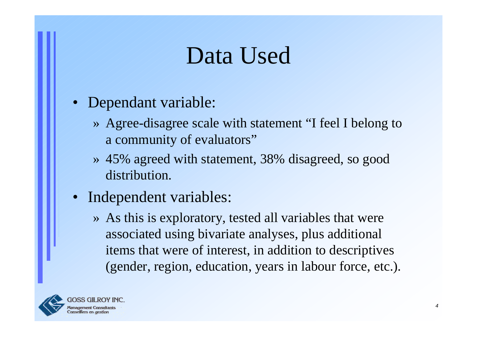## Data Used

- Dependant variable:
	- » Agree-disagree scale with statement "I feel I belong to a community of evaluators"
	- » 45% agreed with statement, 38% disagreed, so good distribution.
- Independent variables:
	- » As this is exploratory, tested all variables that were associated using bivariate analyses, plus additional items that were of interest, in addition to descriptives (gender, region, education, years in labour force, etc.).

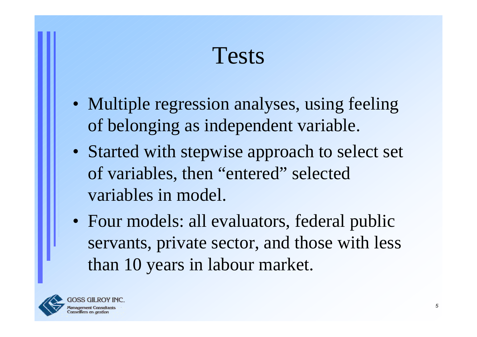Tests

- Multiple regression analyses, using feeling of belonging as independent variable.
- Started with stepwise approach to select set of variables, then "entered" selected variables in model.
- Four models: all evaluators, federal public servants, private sector, and those with less than 10 years in labour market.

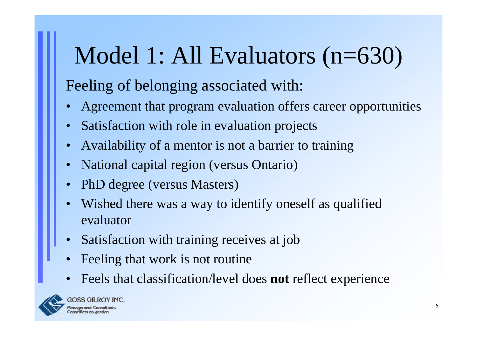# Model 1: All Evaluators (n=630)

- •Agreement that program evaluation offers career opportunities
- •Satisfaction with role in evaluation projects
- •Availability of a mentor is not a barrier to training
- •National capital region (versus Ontario)
- •PhD degree (versus Masters)
- •Wished there was a way to identify oneself as qualified evaluator
- •Satisfaction with training receives at job
- •Feeling that work is not routine
- •Feels that classification/level does **not** reflect experience

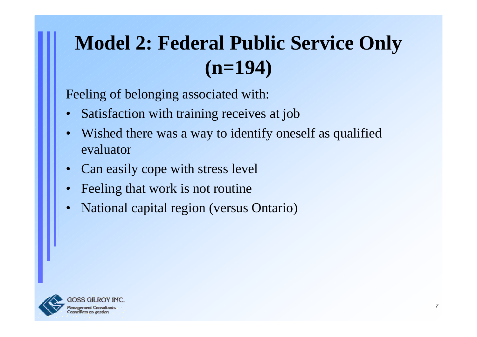### **Model 2: Federal Public Service Only (n=194)**

- •Satisfaction with training receives at job
- •Wished there was a way to identify oneself as qualified evaluator
- •Can easily cope with stress level
- •Feeling that work is not routine
- •National capital region (versus Ontario)

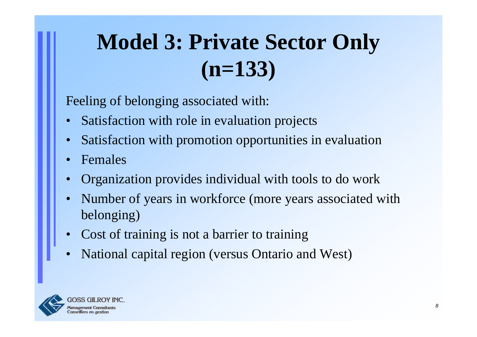## **Model 3: Private Sector Only (n=133)**

- •Satisfaction with role in evaluation projects
- •Satisfaction with promotion opportunities in evaluation
- •Females
- •Organization provides individual with tools to do work
- •Number of years in workforce (more years associated with belonging)
- •Cost of training is not a barrier to training
- •National capital region (versus Ontario and West)

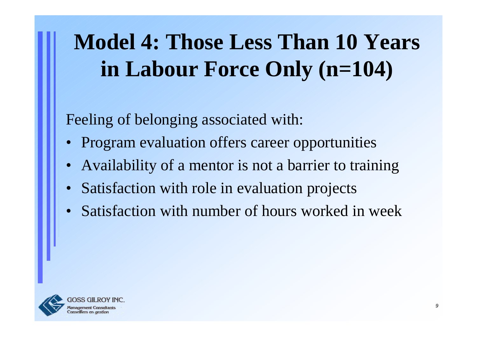## **Model 4: Those Less Than 10 Years in Labour Force Only (n=104)**

- Program evaluation offers career opportunities
- Availability of a mentor is not a barrier to training
- $\bullet$ Satisfaction with role in evaluation projects
- Satisfaction with number of hours worked in week

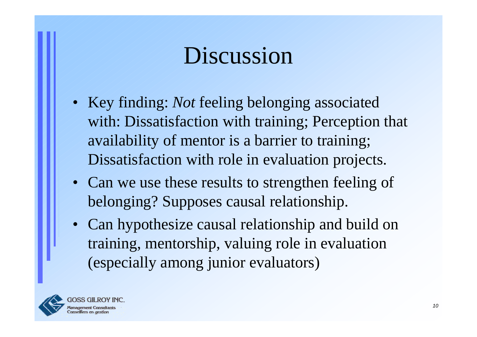## Discussion

- Key finding: *Not* feeling belonging associated with: Dissatisfaction with training; Perception that availability of mentor is a barrier to training; Dissatisfaction with role in evaluation projects.
- Can we use these results to strengthen feeling of belonging? Supposes causal relationship.
- Can hypothesize causal relationship and build on training, mentorship, valuing role in evaluation (especially among junior evaluators)

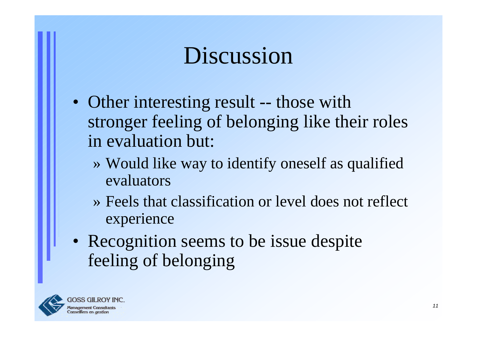## Discussion

- Other interesting result -- those with stronger feeling of belonging like their roles in evaluation but:
	- » Would like way to identify oneself as qualified evaluators
	- » Feels that classification or level does not reflect experience
- Recognition seems to be issue despite feeling of belonging